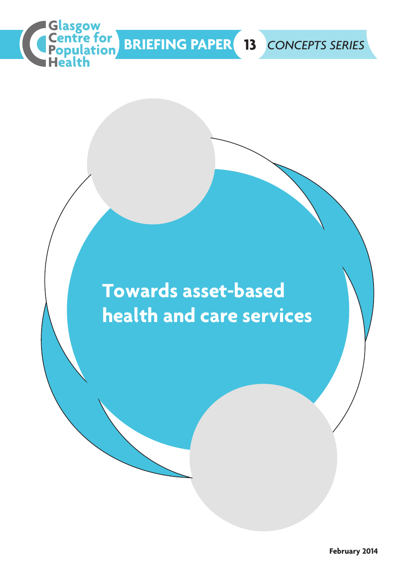

# **Towards asset-based health and care services**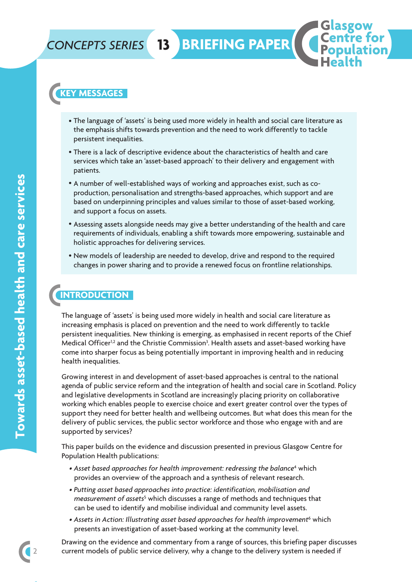### *CONCEPTS SERIES*

**13 BRIEFING PAPER**

### **KEY MESSAGES**

- The language of 'assets' is being used more widely in health and social care literature as the emphasis shifts towards prevention and the need to work differently to tackle persistent inequalities.
- There is a lack of descriptive evidence about the characteristics of health and care services which take an 'asset-based approach' to their delivery and engagement with patients.
- A number of well-established ways of working and approaches exist, such as coproduction, personalisation and strengths-based approaches, which support and are based on underpinning principles and values similar to those of asset-based working, and support a focus on assets.
- Assessing assets alongside needs may give a better understanding of the health and care requirements of individuals, enabling a shift towards more empowering, sustainable and holistic approaches for delivering services.
- New models of leadership are needed to develop, drive and respond to the required changes in power sharing and to provide a renewed focus on frontline relationships.

### **INTRODUCTION**

The language of 'assets' is being used more widely in health and social care literature as increasing emphasis is placed on prevention and the need to work differently to tackle persistent inequalities. New thinking is emerging, as emphasised in recent reports of the Chief Medical Officer<sup>1,2</sup> and the Christie Commission<sup>3</sup>. Health assets and asset-based working have come into sharper focus as being potentially important in improving health and in reducing health inequalities.

Growing interest in and development of asset-based approaches is central to the national agenda of public service reform and the integration of health and social care in Scotland. Policy and legislative developments in Scotland are increasingly placing priority on collaborative working which enables people to exercise choice and exert greater control over the types of support they need for better health and wellbeing outcomes. But what does this mean for the delivery of public services, the public sector workforce and those who engage with and are supported by services?

This paper builds on the evidence and discussion presented in previous Glasgow Centre for Population Health publications:

- *• Asset based approaches for health improvement: redressing the balance*<sup>4</sup> which provides an overview of the approach and a synthesis of relevant research.
- *• Putting asset based approaches into practice: identification, mobilisation and measurement of assets<sup>5</sup>* which discusses a range of methods and techniques that can be used to identify and mobilise individual and community level assets.
- *• Assets in Action: Illustrating asset based approaches for health improvement*<sup>6</sup> which presents an investigation of asset-based working at the community level.

Drawing on the evidence and commentary from a range of sources, this briefing paper discusses current models of public service delivery, why a change to the delivery system is needed if

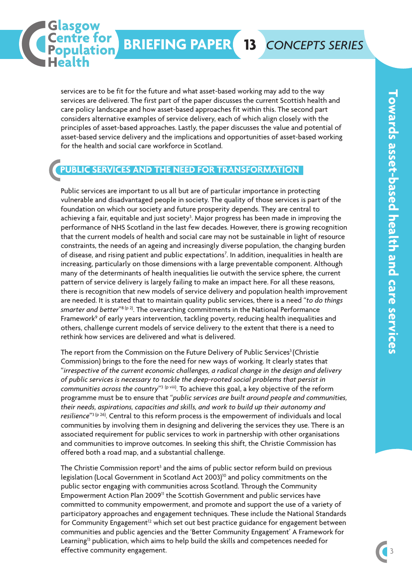services are to be fit for the future and what asset-based working may add to the way services are delivered. The first part of the paper discusses the current Scottish health and care policy landscape and how asset-based approaches fit within this. The second part considers alternative examples of service delivery, each of which align closely with the principles of asset-based approaches. Lastly, the paper discusses the value and potential of asset-based service delivery and the implications and opportunities of asset-based working for the health and social care workforce in Scotland.

### **PUBLIC SERVICES AND THE NEED FOR TRANSFORMATION**

asgow

Centre for

Public services are important to us all but are of particular importance in protecting vulnerable and disadvantaged people in society. The quality of those services is part of the foundation on which our society and future prosperity depends. They are central to achieving a fair, equitable and just society<sup>3</sup>. Major progress has been made in improving the performance of NHS Scotland in the last few decades. However, there is growing recognition that the current models of health and social care may not be sustainable in light of resource constraints, the needs of an ageing and increasingly diverse population, the changing burden of disease, and rising patient and public expectations<sup>7</sup>. In addition, inequalities in health are increasing, particularly on those dimensions with a large preventable component. Although many of the determinants of health inequalities lie outwith the service sphere, the current pattern of service delivery is largely failing to make an impact here. For all these reasons, there is recognition that new models of service delivery and population health improvement are needed. It is stated that to maintain quality public services, there is a need "*to do things* smarter and better<sup>"8 (p 2)</sup>. The overarching commitments in the National Performance Framework<sup>9</sup> of early years intervention, tackling poverty, reducing health inequalities and others, challenge current models of service delivery to the extent that there is a need to rethink how services are delivered and what is delivered.

The report from the Commission on the Future Delivery of Public Services<sup>3</sup> (Christie Commission) brings to the fore the need for new ways of working. It clearly states that "*irrespective of the current economic challenges, a radical change in the design and delivery of public services is necessary to tackle the deep-rooted social problems that persist in communities across the country*"3 (p viii) . To achieve this goal, a key objective of the reform programme must be to ensure that "*public services are built around people and communities, their needs, aspirations, capacities and skills, and work to build up their autonomy and resilience*"3 (p 26) . Central to this reform process is the empowerment of individuals and local communities by involving them in designing and delivering the services they use. There is an associated requirement for public services to work in partnership with other organisations and communities to improve outcomes. In seeking this shift, the Christie Commission has offered both a road map, and a substantial challenge.

The Christie Commission report<sup>3</sup> and the aims of public sector reform build on previous legislation (Local Government in Scotland Act 2003) <sup>10</sup> and policy commitments on the public sector engaging with communities across Scotland. Through the Community Empowerment Action Plan 2009<sup>11</sup> the Scottish Government and public services have committed to community empowerment, and promote and support the use of a variety of participatory approaches and engagement techniques. These include the National Standards for Community Engagement<sup>12</sup> which set out best practice guidance for engagement between communities and public agencies and the 'Better Community Engagement' A Framework for Learning13 publication, which aims to help build the skills and competences needed for effective community engagement.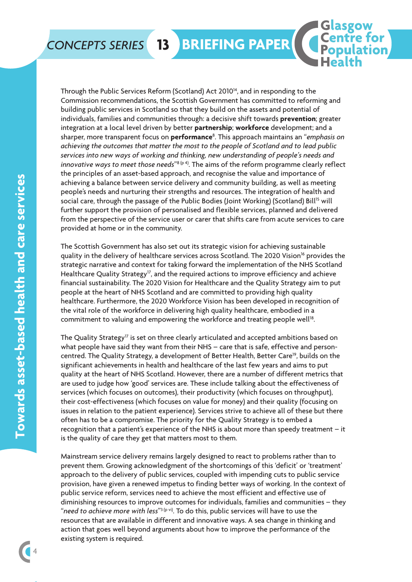### *CONCEPTS SERIES*

Through the Public Services Reform (Scotland) Act 2010<sup>14</sup>, and in responding to the Commission recommendations, the Scottish Government has committed to reforming and building public services in Scotland so that they build on the assets and potential of individuals, families and communities through: a decisive shift towards **prevention**; greater integration at a local level driven by better **partnership**; **workforce** development; and a sharper, more transparent focus on **performance**<sup>8</sup> . This approach maintains an "*emphasis on achieving the outcomes that matter the most to the people of Scotland and to lead public services into new ways of working and thinking, new understanding of people's needs and innovative ways to meet those needs*"8 (p 4) . The aims of the reform programme clearly reflect the principles of an asset-based approach, and recognise the value and importance of achieving a balance between service delivery and community building, as well as meeting people's needs and nurturing their strengths and resources. The integration of health and  $\overline{\rm}$  social care, through the passage of the Public Bodies (Joint Working) (Scotland) Bill<sup>15</sup> will further support the provision of personalised and flexible services, planned and delivered from the perspective of the service user or carer that shifts care from acute services to care provided at home or in the community.

**13 BRIEFING PAPER**

asgow **Centre for Population** 

**2. DIRECT IMPACTS ON HEALTH AND WELLBEING**

The Scottish Government has also set out its strategic vision for achieving sustainable quality in the delivery of healthcare services across Scotland. The 2020 Vision<sup>16</sup> provides the strategic narrative and context for taking forward the implementation of the NHS Scotland Healthcare Quality Strategy<sup>17</sup>, and the required actions to improve efficiency and achieve financial sustainability. The 2020 Vision for Healthcare and the Quality Strategy aim to put people at the heart of NHS Scotland and are committed to providing high quality healthcare. Furthermore, the 2020 Workforce Vision has been developed in recognition of the vital role of the workforce in delivering high quality healthcare, embodied in a commitment to valuing and empowering the workforce and treating people well<sup>18</sup> .

The Quality Strategy<sup>17</sup> is set on three clearly articulated and accepted ambitions based on what people have said they want from their NHS – care that is safe, effective and personcentred. The Quality Strategy, a development of Better Health, Better Care<sup>19</sup>, builds on the significant achievements in health and healthcare of the last few years and aims to put quality at the heart of NHS Scotland. However, there are a number of different metrics that are used to judge how 'good' services are. These include talking about the effectiveness of services (which focuses on outcomes), their productivity (which focuses on throughput), their cost-effectiveness (which focuses on value for money) and their quality (focusing on issues in relation to the patient experience). Services strive to achieve all of these but there often has to be a compromise. The priority for the Quality Strategy is to embed a recognition that a patient's experience of the NHS is about more than speedy treatment – it is the quality of care they get that matters most to them.

Mainstream service delivery remains largely designed to react to problems rather than to prevent them. Growing acknowledgment of the shortcomings of this 'deficit' or 'treatment' approach to the delivery of public services, coupled with impending cuts to public service provision, have given a renewed impetus to finding better ways of working. In the context of public service reform, services need to achieve the most efficient and effective use of diminishing resources to improve outcomes for individuals, families and communities – they "*need to achieve more with less*"3 (p vi) . To do this, public services will have to use the resources that are available in different and innovative ways. A sea change in thinking and action that goes well beyond arguments about how to improve the performance of the existing system is required.

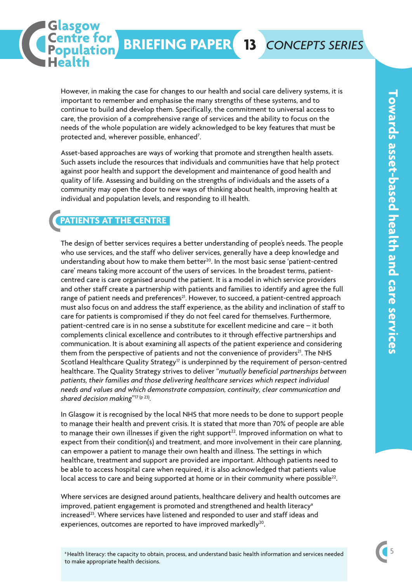However, in making the case for changes to our health and social care delivery systems, it is important to remember and emphasise the many strengths of these systems, and to continue to build and develop them. Specifically, the commitment to universal access to care, the provision of a comprehensive range of services and the ability to focus on the needs of the whole population are widely acknowledged to be key features that must be protected and, wherever possible, enhanced<sup>7</sup>. .<br>.

**BRIEFING PAPER 13** *CONCEPTS SERIES*

Asset-based approaches are ways of working that promote and strengthen health assets. Such assets include the resources that individuals and communities have that help protect against poor health and support the development and maintenance of good health and quality of life. Assessing and building on the strengths of individuals and the assets of a community may open the door to new ways of thinking about health, improving health at individual and population levels, and responding to ill health.

### **PATIENTS AT THE CENTRE**

asgow

Centre for<br>Population

The design of better services requires a better understanding of people's needs. The people who use services, and the staff who deliver services, generally have a deep knowledge and understanding about how to make them better<sup>20</sup>. In the most basic sense 'patient-centred care' means taking more account of the users of services. In the broadest terms, patientcentred care is care organised around the patient. It is a model in which service providers and other staff create a partnership with patients and families to identify and agree the full range of patient needs and preferences<sup>21</sup>. However, to succeed, a patient-centred approach must also focus on and address the staff experience, as the ability and inclination of staff to care for patients is compromised if they do not feel cared for themselves. Furthermore, patient-centred care is in no sense a substitute for excellent medicine and care – it both complements clinical excellence and contributes to it through effective partnerships and communication. It is about examining all aspects of the patient experience and considering them from the perspective of patients and not the convenience of providers<sup>21</sup>. The NHS Scotland Healthcare Quality Strategy<sup>17</sup> is underpinned by the requirement of person-centred healthcare. The Quality Strategy strives to deliver "*mutually beneficial partnerships between patients, their families and those delivering healthcare services which respect individual needs and values and which demonstrate compassion, continuity, clear communication and shared decision making*"17 (p 23) .

In Glasgow it is recognised by the local NHS that more needs to be done to support people to manage their health and prevent crisis. It is stated that more than 70% of people are able to manage their own illnesses if given the right support<sup>22</sup>. Improved information on what to expect from their condition(s) and treatment, and more involvement in their care planning, can empower a patient to manage their own health and illness. The settings in which healthcare, treatment and support are provided are important. Although patients need to be able to access hospital care when required, it is also acknowledged that patients value local access to care and being supported at home or in their community where possible<sup>22</sup>. .

Where services are designed around patients, healthcare delivery and health outcomes are improved, patient engagement is promoted and strengthened and health literacy<sup>a</sup>  $i$ ncreased $23$ . Where services have listened and responded to user and staff ideas and experiences, outcomes are reported to have improved markedly<sup>20</sup>.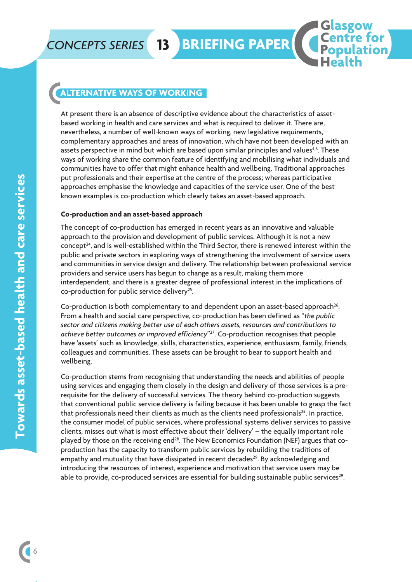### **ALTERNATIVE WAYS OF WORKING**

At present there is an absence of descriptive evidence about the characteristics of assetbased working in health and care services and what is required to deliver it. There are, nevertheless, a number of well-known ways of working, new legislative requirements, complementary approaches and areas of innovation, which have not been developed with an assets perspective in mind but which are based upon similar principles and values<sup>4,6</sup>. These ways of working share the common feature of identifying and mobilising what individuals and communities have to offer that might enhance health and wellbeing. Traditional approaches put professionals and their expertise at the centre of the process; whereas participative approaches emphasise the knowledge and capacities of the service user. One of the best known examples is co-production which clearly takes an asset-based approach.

**<sup>13</sup> BRIEFING PAPER**

asgow

**Centre for**<br>**Population** 

lation

#### **Co-production and an asset-based approach**

The concept of co-production has emerged in recent years as an innovative and valuable approach to the provision and development of public services. Although it is not a new concept<sup>24</sup>, and is well-established within the Third Sector, there is renewed interest within the public and private sectors in exploring ways of strengthening the involvement of service users and communities in service design and delivery. The relationship between professional service providers and service users has begun to change as a result, making them more interdependent, and there is a greater degree of professional interest in the implications of co-production for public service delivery<sup>25</sup>. .

Co-production is both complementary to and dependent upon an asset-based approach<sup>26</sup>. .<br>. From a health and social care perspective, co-production has been defined as "*the public sector and citizens making better use of each others assets, resources and contributions to achieve better outcomes or improved efficiency*"27 . Co-production recognises that people have 'assets' such as knowledge, skills, characteristics, experience, enthusiasm, family, friends, colleagues and communities. These assets can be brought to bear to support health and wellbeing.

Co-production stems from recognising that understanding the needs and abilities of people using services and engaging them closely in the design and delivery of those services is a prerequisite for the delivery of successful services. The theory behind co-production suggests that conventional public service delivery is failing because it has been unable to grasp the fact that professionals need their clients as much as the clients need professionals<sup>28</sup>. In practice, the consumer model of public services, where professional systems deliver services to passive clients, misses out what is most effective about their 'delivery' – the equally important role played by those on the receiving end<sup>28</sup>. The New Economics Foundation (NEF) argues that coproduction has the capacity to transform public services by rebuilding the traditions of empathy and mutuality that have dissipated in recent decades<sup>29</sup>. By acknowledging and introducing the resources of interest, experience and motivation that service users may be able to provide, co-produced services are essential for building sustainable public services<sup>29</sup>. .<br>.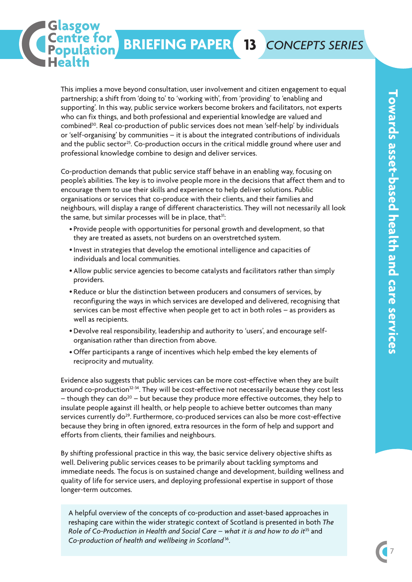This implies a move beyond consultation, user involvement and citizen engagement to equal partnership; a shift from 'doing to' to 'working with', from 'providing' to 'enabling and supporting'. In this way, public service workers become brokers and facilitators, not experts who can fix things, and both professional and experiential knowledge are valued and combined<sup>30</sup>. Real co-production of public services does not mean 'self-help' by individuals or 'self-organising' by communities – it is about the integrated contributions of individuals and the public sector<sup>25</sup>. Co-production occurs in the critical middle ground where user and professional knowledge combine to design and deliver services.

asgow

Centre for<br>Population

Co-production demands that public service staff behave in an enabling way, focusing on people's abilities. The key is to involve people more in the decisions that affect them and to encourage them to use their skills and experience to help deliver solutions. Public organisations or services that co-produce with their clients, and their families and neighbours, will display a range of different characteristics. They will not necessarily all look the same, but similar processes will be in place, that<sup>31</sup>: :

- Provide people with opportunities for personal growth and development, so that they are treated as assets, not burdens on an overstretched system.
- Invest in strategies that develop the emotional intelligence and capacities of individuals and local communities.
- Allow public service agencies to become catalysts and facilitators rather than simply providers.
- Reduce or blur the distinction between producers and consumers of services, by reconfiguring the ways in which services are developed and delivered, recognising that services can be most effective when people get to act in both roles – as providers as well as recipients.
- Devolve real responsibility, leadership and authority to 'users', and encourage self-• organisation rather than direction from above.
- Offer participants a range of incentives which help embed the key elements of •reciprocity and mutuality.

Evidence also suggests that public services can be more cost-effective when they are built around co-production<sup>32-34</sup>. They will be cost-effective not necessarily because they cost less – though they can do<sup>20</sup> – but because they produce more effective outcomes, they help to insulate people against ill health, or help people to achieve better outcomes than many services currently do<sup>29</sup>. Furthermore, co-produced services can also be more cost-effective because they bring in often ignored, extra resources in the form of help and support and efforts from clients, their families and neighbours.

By shifting professional practice in this way, the basic service delivery objective shifts as well. Delivering public services ceases to be primarily about tackling symptoms and immediate needs. The focus is on sustained change and development, building wellness and quality of life for service users, and deploying professional expertise in support of those longer-term outcomes.

A helpful overview of the concepts of co-production and asset-based approaches in reshaping care within the wider strategic context of Scotland is presented in both *The Role of Co-Production in Health and Social Care – what it is and how to do it*<sup>35</sup> and *Co-production of health and wellbeing in Scotland*<sup>36</sup> .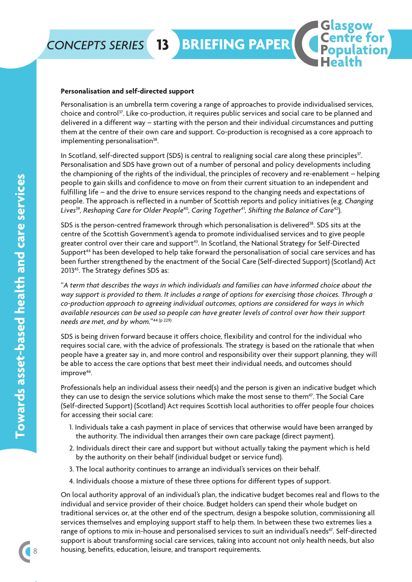

#### **Personalisation and self-directed support**

Personalisation is an umbrella term covering a range of approaches to provide individualised services, choice and control<sup>37</sup>. Like co-production, it requires public services and social care to be planned and delivered in a different way – starting with the person and their individual circumstances and putting them at the centre of their own care and support. Co-production is recognised as a core approach to implementing personalisation<sup>38</sup>. .<br>.

asgow

**Centre for**<br>**Population** 

In Scotland, self-directed support (SDS) is central to realigning social care along these principles<sup>37</sup>. . Personalisation and SDS have grown out of a number of personal and policy developments including the championing of the rights of the individual, the principles of recovery and re-enablement – helping people to gain skills and confidence to move on from their current situation to an independent and fulfilling life – and the drive to ensure services respond to the changing needs and expectations of people. The approach is reflected in a number of Scottish reports and policy initiatives (e.g. *Changing Lives*<sup>39</sup> *, Reshaping Care for Older People*40*, Caring Together*<sup>41</sup> *, Shifting the Balance of Care*<sup>42</sup> ).

SDS is the person-centred framework through which personalisation is delivered<sup>38</sup>. SDS sits at the centre of the Scottish Government's agenda to promote individualised services and to give people greater control over their care and support<sup>43</sup>. In Scotland, the National Strategy for Self-Directed Support<sup>44</sup> has been developed to help take forward the personalisation of social care services and has been further strengthened by the enactment of the Social Care (Self-directed Support) (Scotland) Act 201345 . The Strategy defines SDS as:

"*A term that describes the ways in which individuals and families can have informed choice about the* way support is provided to them. It includes a range of options for exercising those choices. Through a *co-production approach to agreeing individual outcomes, options are considered for ways in which available resources can be used so people can have greater levels of control over how their support needs are met, and by whom.*"44 (p 229)

SDS is being driven forward because it offers choice, flexibility and control for the individual who requires social care, with the advice of professionals. The strategy is based on the rationale that when people have a greater say in, and more control and responsibility over their support planning, they will be able to access the care options that best meet their individual needs, and outcomes should improve<sup>46</sup>. .

Professionals help an individual assess their need(s) and the person is given an indicative budget which they can use to design the service solutions which make the most sense to them<sup>47</sup>. The Social Care (Self-directed Support) (Scotland) Act requires Scottish local authorities to offer people four choices for accessing their social care:

- 1. Individuals take a cash payment in place of services that otherwise would have been arranged by the authority. The individual then arranges their own care package (direct payment).
- 2. Individuals direct their care and support but without actually taking the payment which is held by the authority on their behalf (individual budget or service fund).
- 3. The local authority continues to arrange an individual's services on their behalf.
- 4. Individuals choose a mixture of these three options for different types of support.

On local authority approval of an individual's plan, the indicative budget becomes real and flows to the individual and service provider of their choice. Budget holders can spend their whole budget on traditional services or, at the other end of the spectrum, design a bespoke solution, commissioning all services themselves and employing support staff to help them. In between these two extremes lies a range of options to mix in-house and personalised services to suit an individual's needs<sup>47</sup>. Self-directed support is about transforming social care services, taking into account not only health needs, but also housing, benefits, education, leisure, and transport requirements.

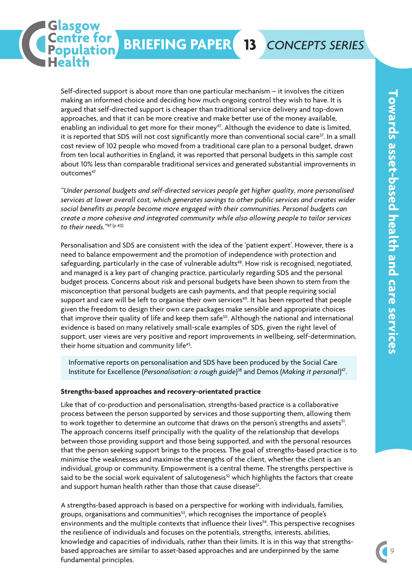Self-directed support is about more than one particular mechanism – it involves the citizen making an informed choice and deciding how much ongoing control they wish to have. It is argued that self-directed support is cheaper than traditional service delivery and top-down approaches, and that it can be more creative and make better use of the money available, enabling an individual to get more for their monev<sup>47</sup>. Although the evidence to date is limited, it is reported that SDS will not cost significantly more than conventional social care<sup>37</sup>. In a small cost review of 102 people who moved from a traditional care plan to a personal budget, drawn from ten local authorities in England, it was reported that personal budgets in this sample cost about 10% less than comparable traditional services and generated substantial improvements in outcomes47

asgow

Centre for

*"Under personal budgets and self-directed services people get higher quality, more personalised services at lower overall cost, which generates savings to other public services and creates wider social benefits as people become more engaged with their communities. Personal budgets can create a more cohesive and integrated community while also allowing people to tailor services to their needs."*<sup>47</sup> (p 40)

Personalisation and SDS are consistent with the idea of the 'patient expert'. However, there is a need to balance empowerment and the promotion of independence with protection and safeguarding, particularly in the case of vulnerable adults<sup>48</sup>. How risk is recognised, negotiated, and managed is a key part of changing practice, particularly regarding SDS and the personal budget process. Concerns about risk and personal budgets have been shown to stem from the misconception that personal budgets are cash payments, and that people requiring social support and care will be left to organise their own services<sup>49</sup>. It has been reported that people given the freedom to design their own care packages make sensible and appropriate choices that improve their quality of life and keep them safe<sup>50</sup>. Although the national and international evidence is based on many relatively small-scale examples of SDS, given the right level of support, user views are very positive and report improvements in wellbeing, self-determination, their home situation and community life<sup>45</sup>. .

Informative reports on personalisation and SDS have been produced by the Social Care Institute for Excellence (*Personalisation: a rough guide*) <sup>38</sup> and Demos (*Making it personal*) 47 .

#### **Strengths-based approaches and recovery-orientated practice**

Like that of co-production and personalisation, strengths-based practice is a collaborative process between the person supported by services and those supporting them, allowing them to work together to determine an outcome that draws on the person's strengths and assets<sup>51</sup>. .<br>. The approach concerns itself principally with the quality of the relationship that develops between those providing support and those being supported, and with the personal resources that the person seeking support brings to the process. The goal of strengths-based practice is to minimise the weaknesses and maximise the strengths of the client, whether the client is an individual, group or community. Empowerment is a central theme. The strengths perspective is said to be the social work equivalent of salutogenesis<sup>52</sup> which highlights the factors that create and support human health rather than those that cause disease<sup>51</sup>. .

A strengths-based approach is based on a perspective for working with individuals, families, groups, organisations and communities $^{53}$ , which recognises the importance of people's environments and the multiple contexts that influence their lives<sup>54</sup>. This perspective recognises the resilience of individuals and focuses on the potentials, strengths, interests, abilities, knowledge and capacities of individuals, rather than their limits. It is in this way that strengthsbased approaches are similar to asset-based approaches and are underpinned by the same fundamental principles.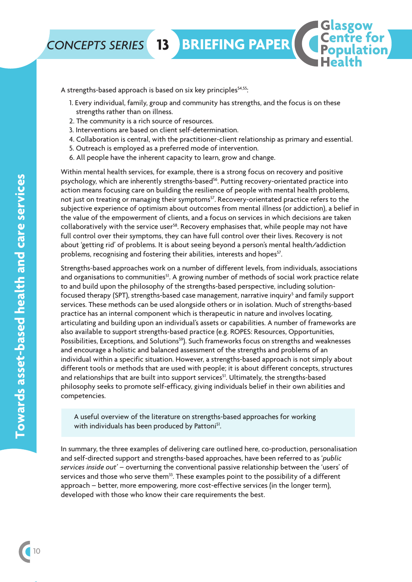

A strengths-based approach is based on six key principles<sup>54,55</sup>: :

1. Every individual, family, group and community has strengths, and the focus is on these strengths rather than on illness.

asgow

**Centre for**<br>**Population** 

lation

- 2. The community is a rich source of resources.
- 3. Interventions are based on client self-determination.
- 4. Collaboration is central, with the practitioner-client relationship as primary and essential.
- 5. Outreach is employed as a preferred mode of intervention.
- 6. All people have the inherent capacity to learn, grow and change.

Within mental health services, for example, there is a strong focus on recovery and positive psychology, which are inherently strengths-based<sup>56</sup>. Putting recovery-orientated practice into action means focusing care on building the resilience of people with mental health problems, not just on treating or managing their symptoms<sup>57</sup>. Recovery-orientated practice refers to the subjective experience of optimism about outcomes from mental illness (or addiction), a belief in the value of the empowerment of clients, and a focus on services in which decisions are taken collaboratively with the service user<sup>58</sup>. Recovery emphasises that, while people may not have full control over their symptoms, they can have full control over their lives. Recovery is not about 'getting rid' of problems. It is about seeing beyond a person's mental health/addiction problems, recognising and fostering their abilities, interests and hopes<sup>57</sup>. .

Strengths-based approaches work on a number of different levels, from individuals, associations and organisations to communities<sup>51</sup>. A growing number of methods of social work practice relate to and build upon the philosophy of the strengths-based perspective, including solutionfocused therapy (SPT), strengths-based case management, narrative inquiry<sup>5</sup> and family support services. These methods can be used alongside others or in isolation. Much of strengths-based practice has an internal component which is therapeutic in nature and involves locating, articulating and building upon an individual's assets or capabilities. A number of frameworks are also available to support strengths-based practice (e.g. ROPES: Resources, Opportunities, Possibilities, Exceptions, and Solutions<sup>59</sup>). Such frameworks focus on strengths and weaknesses and encourage a holistic and balanced assessment of the strengths and problems of an individual within a specific situation. However, a strengths-based approach is not simply about different tools or methods that are used with people; it is about different concepts, structures and relationships that are built into support services<sup>51</sup>. Ultimately, the strengths-based philosophy seeks to promote self-efficacy, giving individuals belief in their own abilities and competencies.

A useful overview of the literature on strengths-based approaches for working with individuals has been produced by Pattoni<sup>51</sup> .

In summary, the three examples of delivering care outlined here, co-production, personalisation and self-directed support and strengths-based approaches, have been referred to as '*public services inside out'* – overturning the conventional passive relationship between the 'users' of services and those who serve them $^{33}$ . These examples point to the possibility of a different approach – better, more empowering, more cost-effective services (in the longer term), developed with those who know their care requirements the best.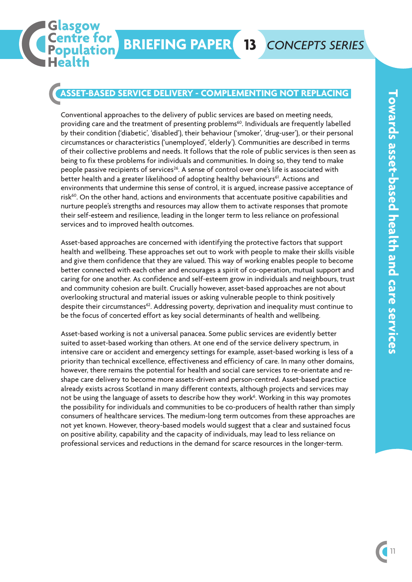asgow **Centre for Population** 

### **ASSET-BASED SERVICE DELIVERY - COMPLEMENTING NOT REPLACING**

Conventional approaches to the delivery of public services are based on meeting needs, providing care and the treatment of presenting problems<sup>60</sup>. Individuals are frequently labelled by their condition ('diabetic', 'disabled'), their behaviour ('smoker', 'drug-user'), or their personal circumstances or characteristics ('unemployed', 'elderly'). Communities are described in terms of their collective problems and needs. It follows that the role of public services is then seen as being to fix these problems for individuals and communities. In doing so, they tend to make people passive recipients of services<sup>26</sup>. A sense of control over one's life is associated with .<br>better health and a greater likelihood of adopting healthy behaviours<sup>61</sup>. Actions and environments that undermine this sense of control, it is argued, increase passive acceptance of risk<sup>60</sup>. On the other hand, actions and environments that accentuate positive capabilities and nurture people's strengths and resources may allow them to activate responses that promote their self-esteem and resilience, leading in the longer term to less reliance on professional services and to improved health outcomes.

Asset-based approaches are concerned with identifying the protective factors that support health and wellbeing. These approaches set out to work with people to make their skills visible and give them confidence that they are valued. This way of working enables people to become better connected with each other and encourages a spirit of co-operation, mutual support and caring for one another. As confidence and self-esteem grow in individuals and neighbours, trust and community cohesion are built. Crucially however, asset-based approaches are not about overlooking structural and material issues or asking vulnerable people to think positively despite their circumstances<sup>62</sup>. Addressing poverty, deprivation and inequality must continue to be the focus of concerted effort as key social determinants of health and wellbeing.

Asset-based working is not a universal panacea. Some public services are evidently better suited to asset-based working than others. At one end of the service delivery spectrum, in intensive care or accident and emergency settings for example, asset-based working is less of a priority than technical excellence, effectiveness and efficiency of care. In many other domains, however, there remains the potential for health and social care services to re-orientate and reshape care delivery to become more assets-driven and person-centred. Asset-based practice already exists across Scotland in many different contexts, although projects and services may not be using the language of assets to describe how they work<sup>6</sup>. Working in this way promotes the possibility for individuals and communities to be co-producers of health rather than simply consumers of healthcare services. The medium-long term outcomes from these approaches are not yet known. However, theory-based models would suggest that a clear and sustained focus on positive ability, capability and the capacity of individuals, may lead to less reliance on professional services and reductions in the demand for scarce resources in the longer-term.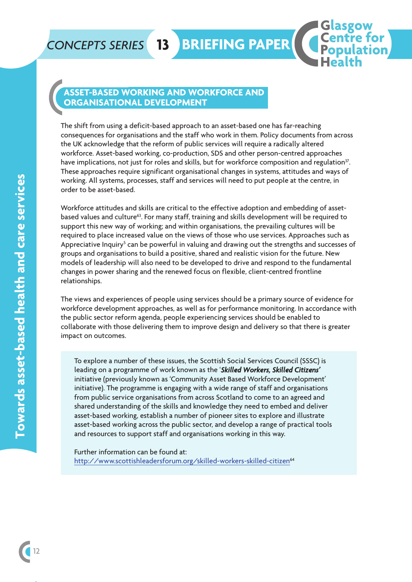## *CONCEPTS SERIES* **13 BRIEFING PAPER**

### **ASSET-BASED WORKING AND WORKFORCE AND ORGANISATIONAL DEVELOPMENT**

The shift from using a deficit-based approach to an asset-based one has far-reaching consequences for organisations and the staff who work in them. Policy documents from across the UK acknowledge that the reform of public services will require a radically altered workforce. Asset-based working, co-production, SDS and other person-centred approaches have implications, not just for roles and skills, but for workforce composition and regulation<sup>37</sup>. . These approaches require significant organisational changes in systems, attitudes and ways of working. All systems, processes, staff and services will need to put people at the centre, in order to be asset-based.

asgow

**Centre for**<br>**Population** 

lation

Workforce attitudes and skills are critical to the effective adoption and embedding of assetbased values and culture<sup>63</sup>. For many staff, training and skills development will be required to support this new way of working; and within organisations, the prevailing cultures will be required to place increased value on the views of those who use services. Approaches such as Appreciative Inquiry<sup>5</sup> can be powerful in valuing and drawing out the strengths and successes of groups and organisations to build a positive, shared and realistic vision for the future. New models of leadership will also need to be developed to drive and respond to the fundamental changes in power sharing and the renewed focus on flexible, client-centred frontline relationships.

The views and experiences of people using services should be a primary source of evidence for workforce development approaches, as well as for performance monitoring. In accordance with the public sector reform agenda, people experiencing services should be enabled to collaborate with those delivering them to improve design and delivery so that there is greater impact on outcomes.

To explore a number of these issues, the Scottish Social Services Council (SSSC) is leading on a programme of work known as the '*Skilled Workers, Skilled Citizens'* initiative (previously known as 'Community Asset Based Workforce Development' initiative). The programme is engaging with a wide range of staff and organisations from public service organisations from across Scotland to come to an agreed and shared understanding of the skills and knowledge they need to embed and deliver asset-based working, establish a number of pioneer sites to explore and illustrate asset-based working across the public sector, and develop a range of practical tools and resources to support staff and organisations working in this way.

Further information can be found at: http://www.scottishleadersforum.org/skilled-workers-skilled-citizen64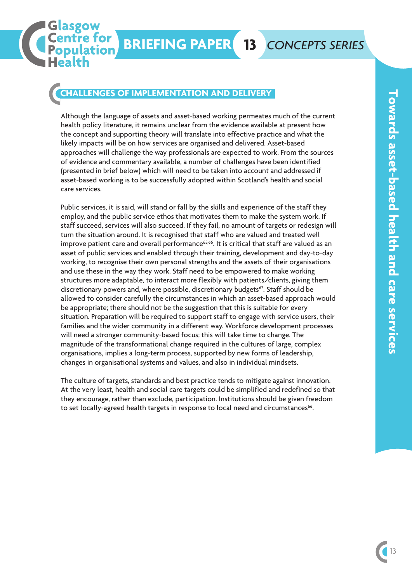### **CHALLENGES OF IMPLEMENTATION AND DELIVERY**

asgow **Centre for** 

lation.

Although the language of assets and asset-based working permeates much of the current health policy literature, it remains unclear from the evidence available at present how the concept and supporting theory will translate into effective practice and what the likely impacts will be on how services are organised and delivered. Asset-based approaches will challenge the way professionals are expected to work. From the sources of evidence and commentary available, a number of challenges have been identified (presented in brief below) which will need to be taken into account and addressed if asset-based working is to be successfully adopted within Scotland's health and social care services.

Public services, it is said, will stand or fall by the skills and experience of the staff they employ, and the public service ethos that motivates them to make the system work. If staff succeed, services will also succeed. If they fail, no amount of targets or redesign will turn the situation around. It is recognised that staff who are valued and treated well improve patient care and overall performance<sup>65,66</sup>. It is critical that staff are valued as an asset of public services and enabled through their training, development and day-to-day working, to recognise their own personal strengths and the assets of their organisations and use these in the way they work. Staff need to be empowered to make working structures more adaptable, to interact more flexibly with patients/clients, giving them discretionary powers and, where possible, discretionary budgets<sup>67</sup>. Staff should be allowed to consider carefully the circumstances in which an asset-based approach would be appropriate; there should not be the suggestion that this is suitable for every situation. Preparation will be required to support staff to engage with service users, their families and the wider community in a different way. Workforce development processes will need a stronger community-based focus; this will take time to change. The magnitude of the transformational change required in the cultures of large, complex organisations, implies a long-term process, supported by new forms of leadership, changes in organisational systems and values, and also in individual mindsets.

The culture of targets, standards and best practice tends to mitigate against innovation. At the very least, health and social care targets could be simplified and redefined so that they encourage, rather than exclude, participation. Institutions should be given freedom to set locally-agreed health targets in response to local need and circumstances<sup>66</sup>. .<br>.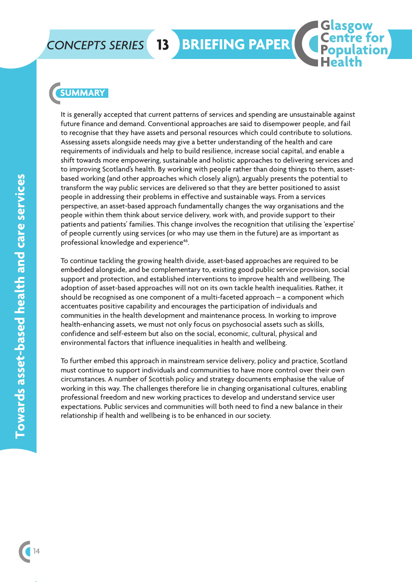# *CONCEPTS SERIES* **13 BRIEFING PAPER**

### **SUMMARY**

It is generally accepted that current patterns of services and spending are unsustainable against future finance and demand. Conventional approaches are said to disempower people, and fail to recognise that they have assets and personal resources which could contribute to solutions. Assessing assets alongside needs may give a better understanding of the health and care requirements of individuals and help to build resilience, increase social capital, and enable a shift towards more empowering, sustainable and holistic approaches to delivering services and to improving Scotland's health. By working with people rather than doing things to them, assetbased working (and other approaches which closely align), arguably presents the potential to transform the way public services are delivered so that they are better positioned to assist people in addressing their problems in effective and sustainable ways. From a services perspective, an asset-based approach fundamentally changes the way organisations and the people within them think about service delivery, work with, and provide support to their patients and patients' families. This change involves the recognition that utilising the 'expertise' of people currently using services (or who may use them in the future) are as important as professional knowledge and experience<sup>46</sup>. .

**Glasgow** 

Centre for

To continue tackling the growing health divide, asset-based approaches are required to be embedded alongside, and be complementary to, existing good public service provision, social support and protection, and established interventions to improve health and wellbeing. The adoption of asset-based approaches will not on its own tackle health inequalities. Rather, it should be recognised as one component of a multi-faceted approach – a component which accentuates positive capability and encourages the participation of individuals and communities in the health development and maintenance process. In working to improve health-enhancing assets, we must not only focus on psychosocial assets such as skills, confidence and self-esteem but also on the social, economic, cultural, physical and environmental factors that influence inequalities in health and wellbeing.

To further embed this approach in mainstream service delivery, policy and practice, Scotland must continue to support individuals and communities to have more control over their own circumstances. A number of Scottish policy and strategy documents emphasise the value of working in this way. The challenges therefore lie in changing organisational cultures, enabling professional freedom and new working practices to develop and understand service user expectations. Public services and communities will both need to find a new balance in their relationship if health and wellbeing is to be enhanced in our society.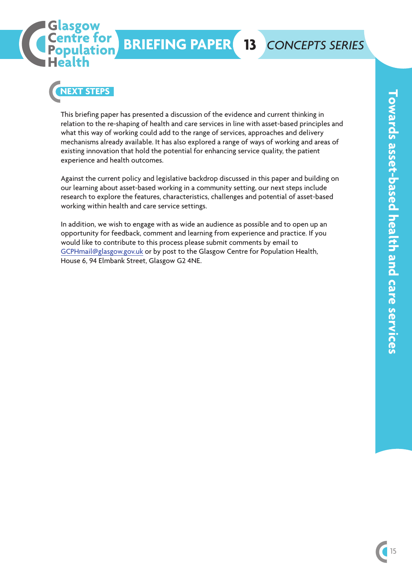



This briefing paper has presented a discussion of the evidence and current thinking in relation to the re-shaping of health and care services in line with asset-based principles and what this way of working could add to the range of services, approaches and delivery mechanisms already available. It has also explored a range of ways of working and areas of existing innovation that hold the potential for enhancing service quality, the patient experience and health outcomes.

Against the current policy and legislative backdrop discussed in this paper and building on our learning about asset-based working in a community setting, our next steps include research to explore the features, characteristics, challenges and potential of asset-based working within health and care service settings.

In addition, we wish to engage with as wide an audience as possible and to open up an opportunity for feedback, comment and learning from experience and practice. If you would like to contribute to this process please submit comments by email to GCPHmail@glasgow.gov.uk or by post to the Glasgow Centre for Population Health, House 6, 94 Elmbank Street, Glasgow G2 4NE.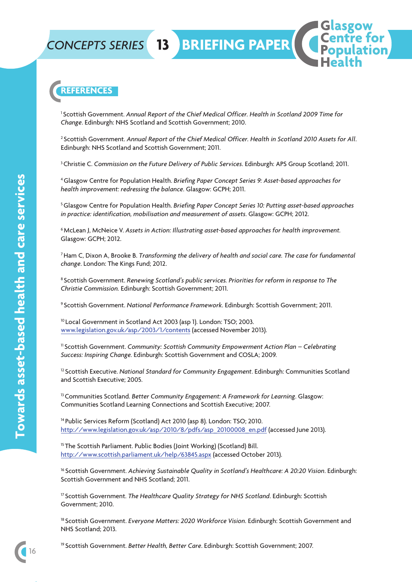# *CONCEPTS SERIES* **13 BRIEFING PAPER**

**REFERENCES**

<sup>1</sup> Scottish Government. *Annual Report of the Chief Medical Officer. Health in Scotland 2009 Time for Change*. Edinburgh: NHS Scotland and Scottish Government; 2010.

<sup>2</sup> Scottish Government. *Annual Report of the Chief Medical Officer. Health in Scotland 2010 Assets for All*. Edinburgh: NHS Scotland and Scottish Government; 2011.

3Christie C. *Commission on the Future Delivery of Public Services*. Edinburgh: APS Group Scotland; 2011.

4Glasgow Centre for Population Health. *Briefing Paper Concept Series 9: Asset-based approaches for health improvement: redressing the balance*. Glasgow: GCPH; 2011.

5Glasgow Centre for Population Health. *Briefing Paper Concept Series 10: Putting asset-based approaches in practice: identification, mobilisation and measurement of assets*. Glasgow: GCPH; 2012.

6McLean J, McNeice V. *Assets in Action: Illustrating asset-based approaches for health improvement.* Glasgow: GCPH; 2012.

7Ham C, Dixon A, Brooke B. *Transforming the delivery of health and social care. The case for fundamental change*. London: The Kings Fund; 2012.

<sup>8</sup> Scottish Government. *Renewing Scotland's public services. Priorities for reform in response to The Christie Commission.* Edinburgh: Scottish Government; 2011.

<sup>9</sup> Scottish Government. *National Performance Framework*. Edinburgh: Scottish Government; 2011.

<sup>10</sup> Local Government in Scotland Act 2003 (asp 1). London: TSO; 2003. www.legislation.gov.uk/asp/2003/1/contents (accessed November 2013).

<sup>11</sup> Scottish Government. *Community: Scottish Community Empowerment Action Plan – Celebrating Success: Inspiring Change.* Edinburgh: Scottish Government and COSLA; 2009.

<sup>12</sup> Scottish Executive. *National Standard for Community Engagement*. Edinburgh: Communities Scotland and Scottish Executive; 2005.

13Communities Scotland. *Better Community Engagement: A Framework for Learning*. Glasgow: Communities Scotland Learning Connections and Scottish Executive; 2007.

<sup>14</sup> Public Services Reform (Scotland) Act 2010 (asp 8). London: TSO: 2010. http://www.legislation.gov.uk/asp/2010/8/pdfs/asp\_20100008\_en.pdf (accessed June 2013).

<sup>15</sup> The Scottish Parliament. Public Bodies (Joint Working) (Scotland) Bill. http://www.scottish.parliament.uk/help/63845.aspx (accessed October 2013).

<sup>16</sup> Scottish Government. *Achieving Sustainable Quality in Scotland's Healthcare: A 20:20 Vision*. Edinburgh: Scottish Government and NHS Scotland; 2011.

<sup>17</sup> Scottish Government. *The Healthcare Quality Strategy for NHS Scotland*. Edinburgh: Scottish Government; 2010.

<sup>18</sup> Scottish Government. *Everyone Matters: 2020 Workforce Vision*. Edinburgh: Scottish Government and NHS Scotland; 2013.

<sup>19</sup> Scottish Government. *Better Health, Better Care*. Edinburgh: Scottish Government; 2007.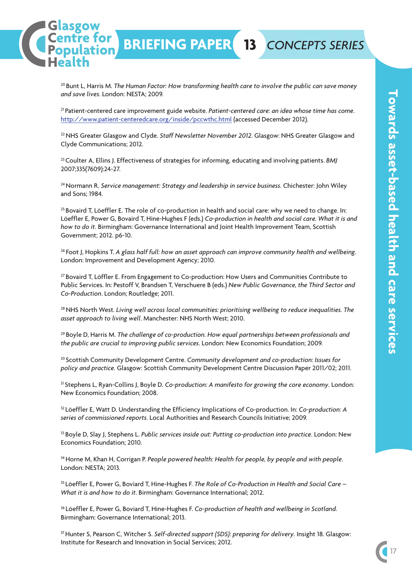<sup>20</sup> Bunt L, Harris M. *The Human Factor: How transforming health care to involve the public can save money and save lives*. London: NESTA; 2009.

asgow entre for

**BRIEFING PAPER 13** *CONCEPTS SERIES*

<sup>21</sup> Patient-centered care improvement guide website. *Patient-centered care: an idea whose time has come*. http://www.patient-centeredcare.org/inside/pccwthc.html (accessed December 2012).

22NHS Greater Glasgow and Clyde. *Staff Newsletter November 2012*. Glasgow: NHS Greater Glasgow and Clyde Communications; 2012.

<sup>23</sup> Coulter A, Ellins J. Effectiveness of strategies for informing, educating and involving patients. *BMJ* 2007;335(7609):24-27.

24Normann R. *Service management: Strategy and leadership in service business*. Chichester: John Wiley and Sons; 1984.

 $25$  Bovaird T, Löeffler E. The role of co-production in health and social care: why we need to change. In: Löeffler E, Power G, Bovaird T, Hine-Hughes F (eds.) *Co-production in health and social care. What it is and how to do it*. Birmingham: Governance International and Joint Health Improvement Team, Scottish Government; 2012. p6-10.

<sup>26</sup> Foot J, Hopkins T. *A glass half full: how an asset approach can improve community health and wellbeing*. London: Improvement and Development Agency; 2010.

<sup>27</sup> Bovaird T, Löffler E. From Engagement to Co-production: How Users and Communities Contribute to Public Services. In: Pestoff V, Brandsen T, Verschuere B (eds.) *New Public Governance, the Third Sector and Co-Production*. London; Routledge; 2011.

28NHS North West. *Living well across local communities: prioritising wellbeing to reduce inequalities. The asset approach to living well*. Manchester: NHS North West; 2010.

<sup>29</sup> Boyle D, Harris M. *The challenge of co-production. How equal partnerships between professionals and the public are crucial to improving public services*. London: New Economics Foundation; 2009.

<sup>30</sup> Scottish Community Development Centre. *Community development and co-production: Issues for policy and practice.* Glasgow: Scottish Community Development Centre Discussion Paper 2011/02; 2011.

<sup>31</sup> Stephens L, Ryan-Collins J, Boyle D*. Co-production: A manifesto for growing the core economy*. London: New Economics Foundation; 2008.

<sup>32</sup> Löeffler E, Watt D. Understanding the Efficiency Implications of Co-production. In: *Co-production: A series of commissioned reports*. Local Authorities and Research Councils Initiative; 2009.

<sup>33</sup> Boyle D, Slay J, Stephens L. *Public services inside out: Putting co-production into practice*. London: New Economics Foundation; 2010.

34Horne M, Khan H, Corrigan P. *People powered health: Health for people, by people and with people*. London: NESTA; 2013.

<sup>35</sup> Löeffler E, Power G, Boviard T, Hine-Hughes F. *The Role of Co-Production in Health and Social Care – What it is and how to do it*. Birmingham: Governance International; 2012.

<sup>36</sup> Löeffler E, Power G, Boviard T, Hine-Hughes F. *Co-production of health and wellbeing in Scotland.* Birmingham: Governance International; 2013.

37Hunter S, Pearson C, Witcher S. *Self-directed support (SDS): preparing for delivery.* Insight 18. Glasgow: Institute for Research and Innovation in Social Services; 2012.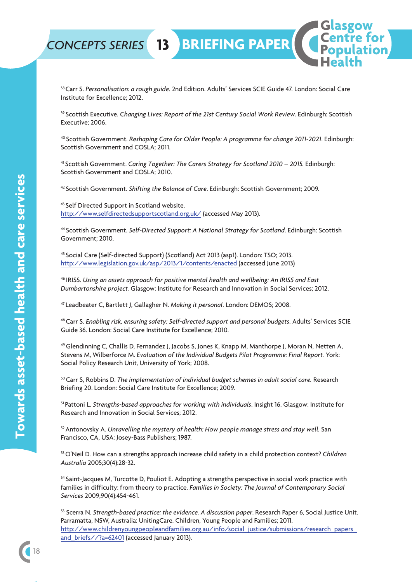

38Carr S. *Personalisation: a rough guide*. 2nd Edition. Adults' Services SCIE Guide 47. London: Social Care Institute for Excellence; 2012.

<sup>39</sup> Scottish Executive. *Changing Lives: Report of the 21st Century Social Work Review.* Edinburgh: Scottish Executive; 2006.

<sup>40</sup> Scottish Government. *Reshaping Care for Older People: A programme for change 2011-2021*. Edinburgh: Scottish Government and COSLA; 2011.

<sup>41</sup> Scottish Government. *Caring Together: The Carers Strategy for Scotland 2010 – 2015.* Edinburgh: Scottish Government and COSLA; 2010.

<sup>42</sup> Scottish Government. *Shifting the Balance of Care*. Edinburgh: Scottish Government; 2009.

<sup>43</sup> Self Directed Support in Scotland website. http://www.selfdirectedsupportscotland.org.uk/ (accessed May 2013).

<sup>44</sup> Scottish Government. *Self-Directed Support: A National Strategy for Scotland*. Edinburgh: Scottish Government; 2010.

<sup>45</sup> Social Care (Self-directed Support) (Scotland) Act 2013 (asp1). London: TSO; 2013. http://www.legislation.gov.uk/asp/2013/1/contents/enacted (accessed June 2013)

<sup>46</sup> IRISS. *Using an assets approach for positive mental health and wellbeing: An IRISS and East Dumbartonshire project.* Glasgow: Institute for Research and Innovation in Social Services; 2012.

<sup>47</sup> Leadbeater C, Bartlett J, Gallagher N. *Making it personal*. London: DEMOS; 2008.

48Carr S. *Enabling risk, ensuring safety: Self-directed support and personal budgets*. Adults' Services SCIE Guide 36. London: Social Care Institute for Excellence; 2010.

49Glendinning C, Challis D, Fernandez J, Jacobs S, Jones K, Knapp M, Manthorpe J, Moran N, Netten A, Stevens M, Wilberforce M. *Evaluation of the Individual Budgets Pilot Programme: Final Report.* York: Social Policy Research Unit, University of York; 2008.

50Carr S, Robbins D. *The implementation of individual budget schemes in adult social care.* Research Briefing 20. London: Social Care Institute for Excellence; 2009.

<sup>51</sup> Pattoni L. *Strengths-based approaches for working with individuals*. Insight 16. Glasgow: Institute for Research and Innovation in Social Services; 2012.

52Antonovsky A. *Unravelling the mystery of health: How people manage stress and stay well.* San Francisco, CA, USA: Josey-Bass Publishers; 1987.

53O'Neil D. How can a strengths approach increase child safety in a child protection context? *Children Australia* 2005;30(4):28-32.

<sup>54</sup> Saint-Jacques M, Turcotte D, Pouliot E. Adopting a strengths perspective in social work practice with families in difficulty: from theory to practice. *Families in Society: The Journal of Contemporary Social Services* 2009;90(4):454-461.

<sup>55</sup> Scerra N. *Strength-based practice: the evidence. A discussion paper*. Research Paper 6, Social Justice Unit. Parramatta, NSW, Australia: UnitingCare. Children, Young People and Families; 2011. http://www.childrenyoungpeopleandfamilies.org.au/info/social\_justice/submissions/research\_papers\_ and briefs//?a=62401 (accessed January 2013).

18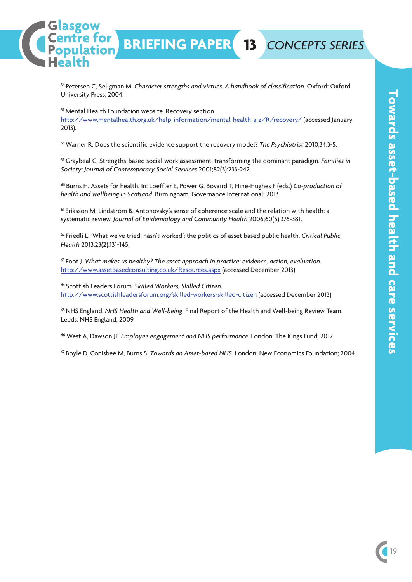

<sup>56</sup> Petersen C, Seligman M. *Character strengths and virtues: A handbook of classification*. Oxford: Oxford University Press; 2004.

**BRIEFING PAPER 13** *CONCEPTS SERIES*

57Mental Health Foundation website. Recovery section.

asgow entre for

lation.

http://www.mentalhealth.org.uk/help-information/mental-health-a-z/R/recovery/ (accessed January 2013).

58Warner R. Does the scientific evidence support the recovery model? *The Psychiatrist* 2010;34:3-5.

59Graybeal C. Strengths-based social work assessment: transforming the dominant paradigm. *Families in Society: Journal of Contemporary Social Services* 2001;82(3):233-242.

<sup>60</sup> Burns H. Assets for health. In: Loeffler E, Power G, Bovaird T, Hine-Hughes F (eds.) *Co-production of health and wellbeing in Scotland*. Birmingham: Governance International; 2013.

<sup>61</sup> Eriksson M, Lindström B. Antonovsky's sense of coherence scale and the relation with health: a systematic review. *Journal of Epidemiology and Community Health* 2006;60(5):376-381.

<sup>62</sup> Friedli L. 'What we've tried, hasn't worked': the politics of asset based public health. *Critical Public Health* 2013;23(2):131-145.

<sup>63</sup> Foot J. *What makes us healthy? The asset approach in practice: evidence, action, evaluation.* http://www.assetbasedconsulting.co.uk/Resources.aspx (accessed December 2013)

<sup>64</sup> Scottish Leaders Forum. *Skilled Workers, Skilled Citizen*. http://www.scottishleadersforum.org/skilled-workers-skilled-citizen (accessed December 2013)

65NHS England. *NHS Health and Well-being*. Final Report of the Health and Well-being Review Team. Leeds: NHS England; 2009.

<sup>66</sup> West A, Dawson JF. *Employee engagement and NHS performance.* London: The Kings Fund; 2012.

<sup>67</sup> Boyle D, Conisbee M, Burns S. *Towards an Asset-based NHS*. London: New Economics Foundation; 2004.